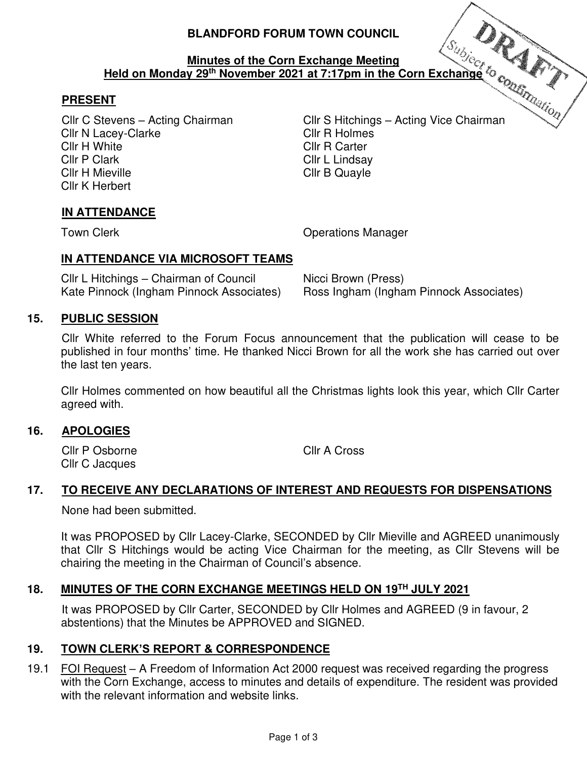# **BLANDFORD FORUM TOWN COUNCIL**

#### **Minutes of the Corn Exchange Meeting Held on Monday 29th November 2021 at 7:17pm in the Corn Exchange**

# **PRESENT**

Cllr N Lacey-Clarke Cllr R Holmes Cllr H White Cllr R Carter Cllr P Clark Cllr L Lindsay Cllr H Mieville **Clinical** Clinical Clinical Clinical Clinical Clinical Clinical Clinical Clinical Clinical Clinical Clinical Clinical Clinical Clinical Clinical Clinical Clinical Clinical Clinical Clinical Clinical Clinic Cllr K Herbert

Cllr C Stevens – Acting Chairman Cllr S Hitchings – Acting Vice Chairman

# **IN ATTENDANCE**

Town Clerk **Town Clear Clerk** Clear Contract Clear Clear Clear Contract Clear Clear Clear Clear Clear Clear Clear Clear Clear Clear Clear Clear Clear Clear Clear Clear Clear Clear Clear Clear Clear Clear Clear Clear Clear

## **IN ATTENDANCE VIA MICROSOFT TEAMS**

Cllr L Hitchings – Chairman of Council Micci Brown (Press)<br>Kate Pinnock (Ingham Pinnock Associates) Ross Ingham (Ingha

Ross Ingham (Ingham Pinnock Associates)

## **15. PUBLIC SESSION**

Cllr White referred to the Forum Focus announcement that the publication will cease to be published in four months' time. He thanked Nicci Brown for all the work she has carried out over the last ten years.

Cllr Holmes commented on how beautiful all the Christmas lights look this year, which Cllr Carter agreed with.

#### **16. APOLOGIES**

 Cllr P Osborne Cllr A Cross Cllr C Jacques

# **17. TO RECEIVE ANY DECLARATIONS OF INTEREST AND REQUESTS FOR DISPENSATIONS**

None had been submitted.

 It was PROPOSED by Cllr Lacey-Clarke, SECONDED by Cllr Mieville and AGREED unanimously that Cllr S Hitchings would be acting Vice Chairman for the meeting, as Cllr Stevens will be chairing the meeting in the Chairman of Council's absence.

## **18. MINUTES OF THE CORN EXCHANGE MEETINGS HELD ON 19TH JULY 2021**

 It was PROPOSED by Cllr Carter, SECONDED by Cllr Holmes and AGREED (9 in favour, 2 abstentions) that the Minutes be APPROVED and SIGNED.

#### **19. TOWN CLERK'S REPORT & CORRESPONDENCE**

19.1 FOI Request – A Freedom of Information Act 2000 request was received regarding the progress with the Corn Exchange, access to minutes and details of expenditure. The resident was provided with the relevant information and website links.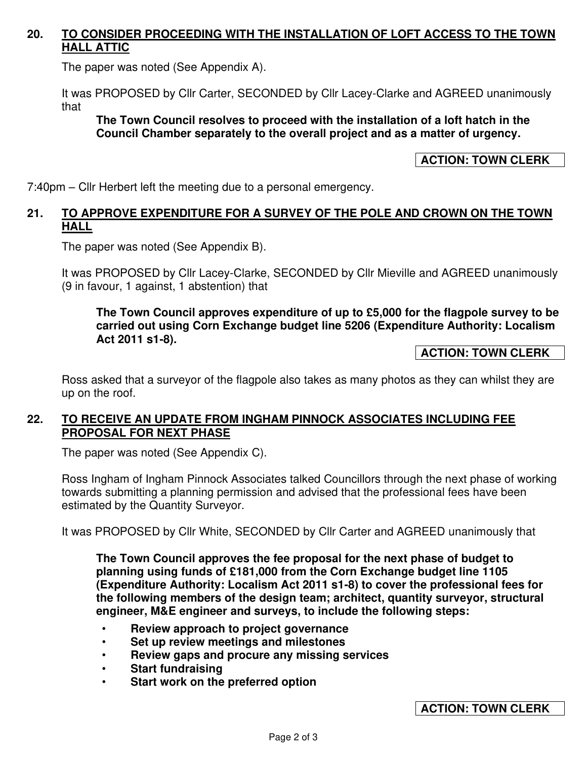# **20. TO CONSIDER PROCEEDING WITH THE INSTALLATION OF LOFT ACCESS TO THE TOWN HALL ATTIC**

The paper was noted (See Appendix A).

It was PROPOSED by Cllr Carter, SECONDED by Cllr Lacey-Clarke and AGREED unanimously that

#### **The Town Council resolves to proceed with the installation of a loft hatch in the Council Chamber separately to the overall project and as a matter of urgency.**

# **ACTION: TOWN CLERK**

7:40pm – Cllr Herbert left the meeting due to a personal emergency.

## **21. TO APPROVE EXPENDITURE FOR A SURVEY OF THE POLE AND CROWN ON THE TOWN HALL**

The paper was noted (See Appendix B).

It was PROPOSED by Cllr Lacey-Clarke, SECONDED by Cllr Mieville and AGREED unanimously (9 in favour, 1 against, 1 abstention) that

#### **The Town Council approves expenditure of up to £5,000 for the flagpole survey to be carried out using Corn Exchange budget line 5206 (Expenditure Authority: Localism Act 2011 s1-8).**

## **ACTION: TOWN CLERK**

Ross asked that a surveyor of the flagpole also takes as many photos as they can whilst they are up on the roof.

# **22. TO RECEIVE AN UPDATE FROM INGHAM PINNOCK ASSOCIATES INCLUDING FEE PROPOSAL FOR NEXT PHASE**

The paper was noted (See Appendix C).

Ross Ingham of Ingham Pinnock Associates talked Councillors through the next phase of working towards submitting a planning permission and advised that the professional fees have been estimated by the Quantity Surveyor.

It was PROPOSED by Cllr White, SECONDED by Cllr Carter and AGREED unanimously that

**The Town Council approves the fee proposal for the next phase of budget to planning using funds of £181,000 from the Corn Exchange budget line 1105 (Expenditure Authority: Localism Act 2011 s1-8) to cover the professional fees for the following members of the design team; architect, quantity surveyor, structural engineer, M&E engineer and surveys, to include the following steps:** 

- **Review approach to project governance**
- **Set up review meetings and milestones**
- **Review gaps and procure any missing services**
- **Start fundraising**
- **Start work on the preferred option**